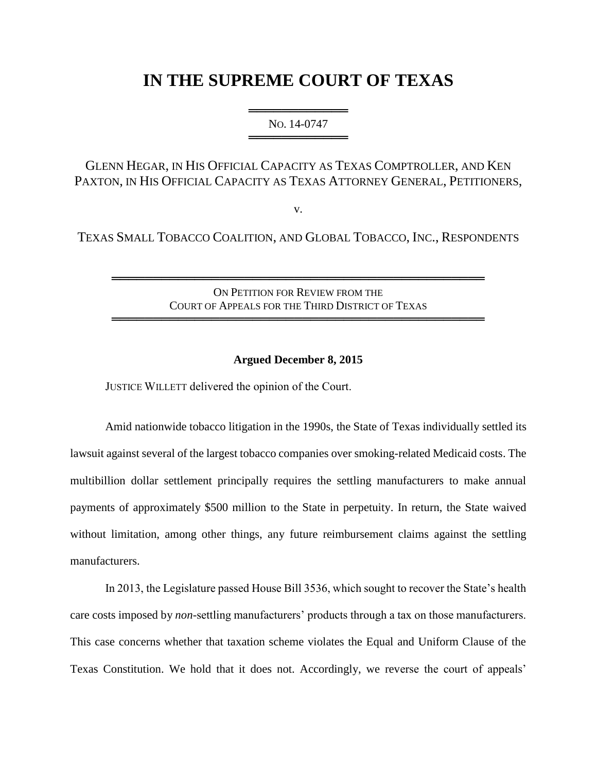# **IN THE SUPREME COURT OF TEXAS**

═══════════════════════ NO. 14-0747 ══════════════════════════

# GLENN HEGAR, IN HIS OFFICIAL CAPACITY AS TEXAS COMPTROLLER, AND KEN PAXTON, IN HIS OFFICIAL CAPACITY AS TEXAS ATTORNEY GENERAL, PETITIONERS,

v.

TEXAS SMALL TOBACCO COALITION, AND GLOBAL TOBACCO, INC., RESPONDENTS

ON PETITION FOR REVIEW FROM THE COURT OF APPEALS FOR THE THIRD DISTRICT OF TEXAS

═════════════════════════════════════════════

═════════════════════════════════════════════

## **Argued December 8, 2015**

JUSTICE WILLETT delivered the opinion of the Court.

Amid nationwide tobacco litigation in the 1990s, the State of Texas individually settled its lawsuit against several of the largest tobacco companies over smoking-related Medicaid costs. The multibillion dollar settlement principally requires the settling manufacturers to make annual payments of approximately \$500 million to the State in perpetuity. In return, the State waived without limitation, among other things, any future reimbursement claims against the settling manufacturers.

In 2013, the Legislature passed House Bill 3536, which sought to recover the State's health care costs imposed by *non*-settling manufacturers' products through a tax on those manufacturers. This case concerns whether that taxation scheme violates the Equal and Uniform Clause of the Texas Constitution. We hold that it does not. Accordingly, we reverse the court of appeals'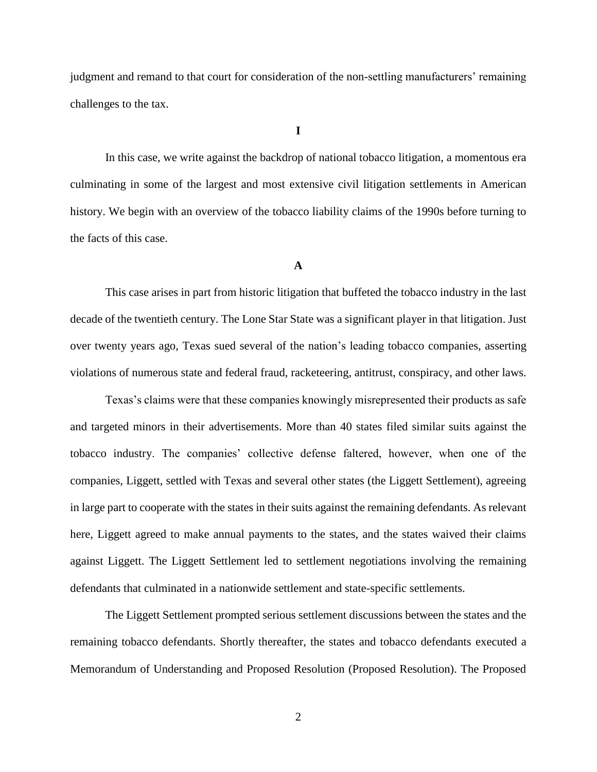judgment and remand to that court for consideration of the non-settling manufacturers' remaining challenges to the tax.

**I**

In this case, we write against the backdrop of national tobacco litigation, a momentous era culminating in some of the largest and most extensive civil litigation settlements in American history. We begin with an overview of the tobacco liability claims of the 1990s before turning to the facts of this case.

#### **A**

This case arises in part from historic litigation that buffeted the tobacco industry in the last decade of the twentieth century. The Lone Star State was a significant player in that litigation. Just over twenty years ago, Texas sued several of the nation's leading tobacco companies, asserting violations of numerous state and federal fraud, racketeering, antitrust, conspiracy, and other laws.

Texas's claims were that these companies knowingly misrepresented their products as safe and targeted minors in their advertisements. More than 40 states filed similar suits against the tobacco industry. The companies' collective defense faltered, however, when one of the companies, Liggett, settled with Texas and several other states (the Liggett Settlement), agreeing in large part to cooperate with the states in their suits against the remaining defendants. As relevant here, Liggett agreed to make annual payments to the states, and the states waived their claims against Liggett. The Liggett Settlement led to settlement negotiations involving the remaining defendants that culminated in a nationwide settlement and state-specific settlements.

The Liggett Settlement prompted serious settlement discussions between the states and the remaining tobacco defendants. Shortly thereafter, the states and tobacco defendants executed a Memorandum of Understanding and Proposed Resolution (Proposed Resolution). The Proposed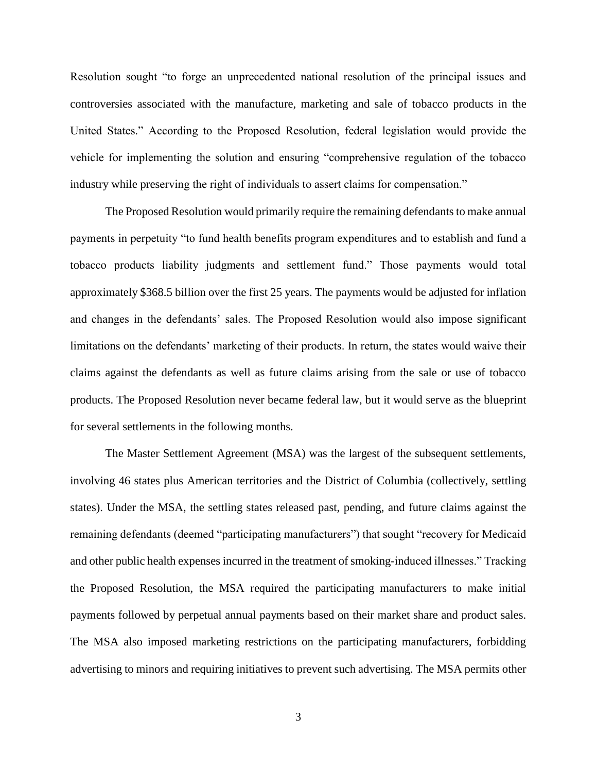Resolution sought "to forge an unprecedented national resolution of the principal issues and controversies associated with the manufacture, marketing and sale of tobacco products in the United States." According to the Proposed Resolution, federal legislation would provide the vehicle for implementing the solution and ensuring "comprehensive regulation of the tobacco industry while preserving the right of individuals to assert claims for compensation."

The Proposed Resolution would primarily require the remaining defendants to make annual payments in perpetuity "to fund health benefits program expenditures and to establish and fund a tobacco products liability judgments and settlement fund." Those payments would total approximately \$368.5 billion over the first 25 years. The payments would be adjusted for inflation and changes in the defendants' sales. The Proposed Resolution would also impose significant limitations on the defendants' marketing of their products. In return, the states would waive their claims against the defendants as well as future claims arising from the sale or use of tobacco products. The Proposed Resolution never became federal law, but it would serve as the blueprint for several settlements in the following months.

The Master Settlement Agreement (MSA) was the largest of the subsequent settlements, involving 46 states plus American territories and the District of Columbia (collectively, settling states). Under the MSA, the settling states released past, pending, and future claims against the remaining defendants (deemed "participating manufacturers") that sought "recovery for Medicaid and other public health expenses incurred in the treatment of smoking-induced illnesses." Tracking the Proposed Resolution, the MSA required the participating manufacturers to make initial payments followed by perpetual annual payments based on their market share and product sales. The MSA also imposed marketing restrictions on the participating manufacturers, forbidding advertising to minors and requiring initiatives to prevent such advertising. The MSA permits other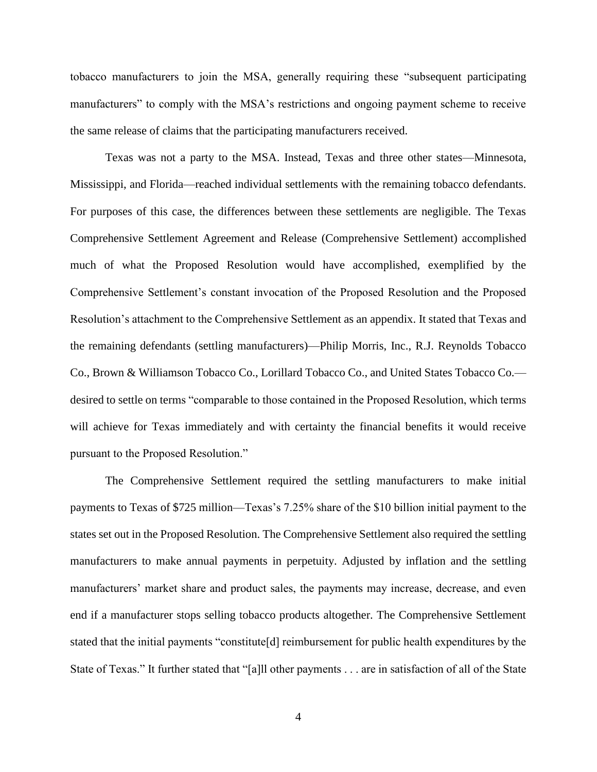tobacco manufacturers to join the MSA, generally requiring these "subsequent participating manufacturers" to comply with the MSA's restrictions and ongoing payment scheme to receive the same release of claims that the participating manufacturers received.

Texas was not a party to the MSA. Instead, Texas and three other states—Minnesota, Mississippi, and Florida—reached individual settlements with the remaining tobacco defendants. For purposes of this case, the differences between these settlements are negligible. The Texas Comprehensive Settlement Agreement and Release (Comprehensive Settlement) accomplished much of what the Proposed Resolution would have accomplished, exemplified by the Comprehensive Settlement's constant invocation of the Proposed Resolution and the Proposed Resolution's attachment to the Comprehensive Settlement as an appendix. It stated that Texas and the remaining defendants (settling manufacturers)—Philip Morris, Inc., R.J. Reynolds Tobacco Co., Brown & Williamson Tobacco Co., Lorillard Tobacco Co., and United States Tobacco Co. desired to settle on terms "comparable to those contained in the Proposed Resolution, which terms will achieve for Texas immediately and with certainty the financial benefits it would receive pursuant to the Proposed Resolution."

The Comprehensive Settlement required the settling manufacturers to make initial payments to Texas of \$725 million—Texas's 7.25% share of the \$10 billion initial payment to the states set out in the Proposed Resolution. The Comprehensive Settlement also required the settling manufacturers to make annual payments in perpetuity. Adjusted by inflation and the settling manufacturers' market share and product sales, the payments may increase, decrease, and even end if a manufacturer stops selling tobacco products altogether. The Comprehensive Settlement stated that the initial payments "constitute[d] reimbursement for public health expenditures by the State of Texas." It further stated that "[a]ll other payments . . . are in satisfaction of all of the State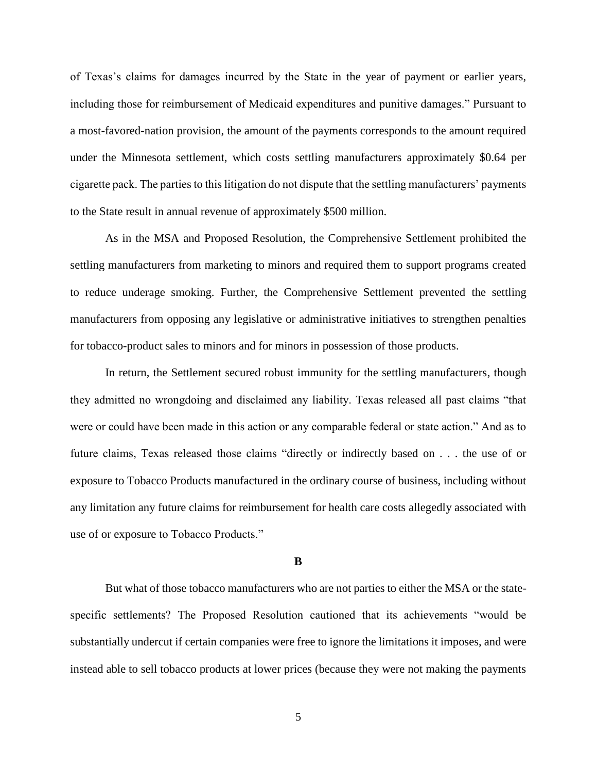of Texas's claims for damages incurred by the State in the year of payment or earlier years, including those for reimbursement of Medicaid expenditures and punitive damages." Pursuant to a most-favored-nation provision, the amount of the payments corresponds to the amount required under the Minnesota settlement, which costs settling manufacturers approximately \$0.64 per cigarette pack. The parties to this litigation do not dispute that the settling manufacturers' payments to the State result in annual revenue of approximately \$500 million.

As in the MSA and Proposed Resolution, the Comprehensive Settlement prohibited the settling manufacturers from marketing to minors and required them to support programs created to reduce underage smoking. Further, the Comprehensive Settlement prevented the settling manufacturers from opposing any legislative or administrative initiatives to strengthen penalties for tobacco-product sales to minors and for minors in possession of those products.

In return, the Settlement secured robust immunity for the settling manufacturers, though they admitted no wrongdoing and disclaimed any liability. Texas released all past claims "that were or could have been made in this action or any comparable federal or state action." And as to future claims, Texas released those claims "directly or indirectly based on . . . the use of or exposure to Tobacco Products manufactured in the ordinary course of business, including without any limitation any future claims for reimbursement for health care costs allegedly associated with use of or exposure to Tobacco Products."

#### **B**

But what of those tobacco manufacturers who are not parties to either the MSA or the statespecific settlements? The Proposed Resolution cautioned that its achievements "would be substantially undercut if certain companies were free to ignore the limitations it imposes, and were instead able to sell tobacco products at lower prices (because they were not making the payments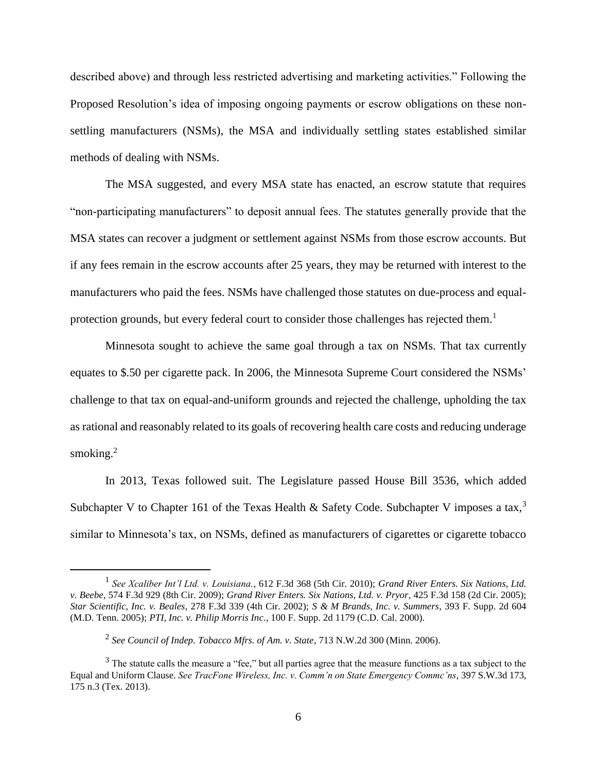described above) and through less restricted advertising and marketing activities." Following the Proposed Resolution's idea of imposing ongoing payments or escrow obligations on these nonsettling manufacturers (NSMs), the MSA and individually settling states established similar methods of dealing with NSMs.

The MSA suggested, and every MSA state has enacted, an escrow statute that requires "non-participating manufacturers" to deposit annual fees. The statutes generally provide that the MSA states can recover a judgment or settlement against NSMs from those escrow accounts. But if any fees remain in the escrow accounts after 25 years, they may be returned with interest to the manufacturers who paid the fees. NSMs have challenged those statutes on due-process and equalprotection grounds, but every federal court to consider those challenges has rejected them.<sup>1</sup>

Minnesota sought to achieve the same goal through a tax on NSMs. That tax currently equates to \$.50 per cigarette pack. In 2006, the Minnesota Supreme Court considered the NSMs' challenge to that tax on equal-and-uniform grounds and rejected the challenge, upholding the tax as rational and reasonably related to its goals of recovering health care costs and reducing underage smoking. $2$ 

In 2013, Texas followed suit. The Legislature passed House Bill 3536, which added Subchapter V to Chapter 161 of the Texas Health & Safety Code. Subchapter V imposes a tax,<sup>3</sup> similar to Minnesota's tax, on NSMs, defined as manufacturers of cigarettes or cigarette tobacco

<sup>1</sup> *See Xcaliber Int'l Ltd. v. Louisiana.*, 612 F.3d 368 (5th Cir. 2010); *Grand River Enters. Six Nations, Ltd. v. Beebe*, 574 F.3d 929 (8th Cir. 2009); *Grand River Enters. Six Nations, Ltd. v. Pryor*, 425 F.3d 158 (2d Cir. 2005); *Star Scientific, Inc. v. Beales*, 278 F.3d 339 (4th Cir. 2002); *S & M Brands, Inc. v. Summers*, 393 F. Supp. 2d 604 (M.D. Tenn. 2005); *PTI, Inc. v. Philip Morris Inc.*, 100 F. Supp. 2d 1179 (C.D. Cal. 2000).

<sup>2</sup> *See Council of Indep. Tobacco Mfrs. of Am. v. State*, 713 N.W.2d 300 (Minn. 2006).

<sup>&</sup>lt;sup>3</sup> The statute calls the measure a "fee," but all parties agree that the measure functions as a tax subject to the Equal and Uniform Clause. *See TracFone Wireless, Inc. v. Comm'n on State Emergency Commc'ns*, 397 S.W.3d 173, 175 n.3 (Tex. 2013).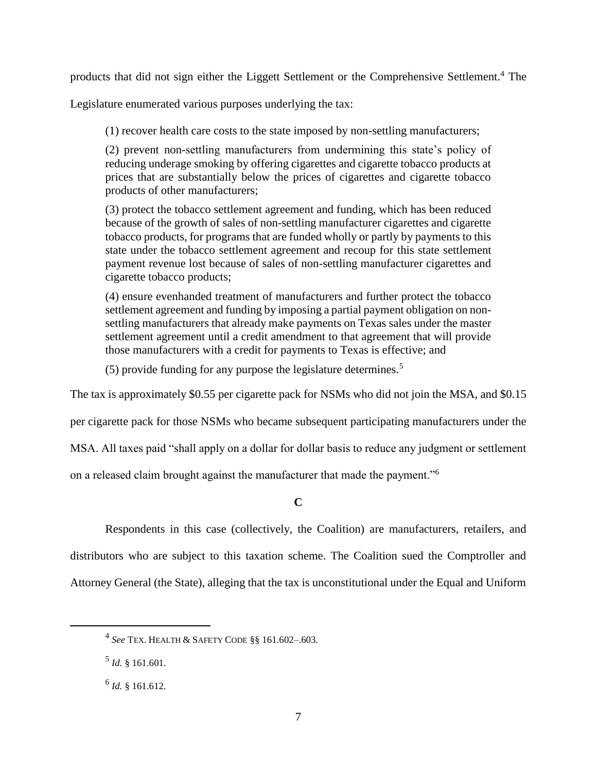products that did not sign either the Liggett Settlement or the Comprehensive Settlement.<sup>4</sup> The

Legislature enumerated various purposes underlying the tax:

(1) recover health care costs to the state imposed by non-settling manufacturers;

(2) prevent non-settling manufacturers from undermining this state's policy of reducing underage smoking by offering cigarettes and cigarette tobacco products at prices that are substantially below the prices of cigarettes and cigarette tobacco products of other manufacturers;

(3) protect the tobacco settlement agreement and funding, which has been reduced because of the growth of sales of non-settling manufacturer cigarettes and cigarette tobacco products, for programs that are funded wholly or partly by payments to this state under the tobacco settlement agreement and recoup for this state settlement payment revenue lost because of sales of non-settling manufacturer cigarettes and cigarette tobacco products;

(4) ensure evenhanded treatment of manufacturers and further protect the tobacco settlement agreement and funding by imposing a partial payment obligation on nonsettling manufacturers that already make payments on Texas sales under the master settlement agreement until a credit amendment to that agreement that will provide those manufacturers with a credit for payments to Texas is effective; and

(5) provide funding for any purpose the legislature determines.<sup>5</sup>

The tax is approximately \$0.55 per cigarette pack for NSMs who did not join the MSA, and \$0.15

per cigarette pack for those NSMs who became subsequent participating manufacturers under the

MSA. All taxes paid "shall apply on a dollar for dollar basis to reduce any judgment or settlement

on a released claim brought against the manufacturer that made the payment."<sup>6</sup>

# **C**

Respondents in this case (collectively, the Coalition) are manufacturers, retailers, and distributors who are subject to this taxation scheme. The Coalition sued the Comptroller and Attorney General (the State), alleging that the tax is unconstitutional under the Equal and Uniform

 $\ddot{\phantom{a}}$ 

<sup>4</sup> *See* TEX. HEALTH & SAFETY CODE §§ 161.602–.603.

<sup>5</sup> *Id.* § 161.601.

<sup>6</sup> *Id.* § 161.612.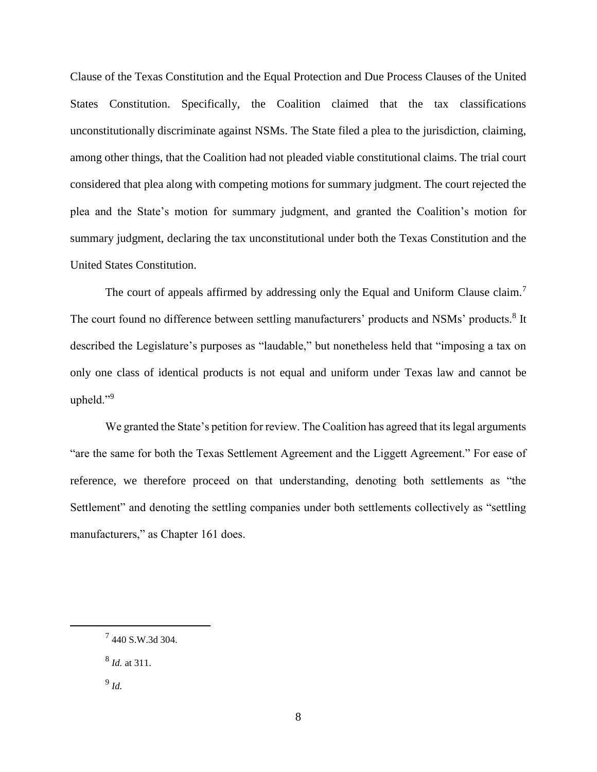Clause of the Texas Constitution and the Equal Protection and Due Process Clauses of the United States Constitution. Specifically, the Coalition claimed that the tax classifications unconstitutionally discriminate against NSMs. The State filed a plea to the jurisdiction, claiming, among other things, that the Coalition had not pleaded viable constitutional claims. The trial court considered that plea along with competing motions for summary judgment. The court rejected the plea and the State's motion for summary judgment, and granted the Coalition's motion for summary judgment, declaring the tax unconstitutional under both the Texas Constitution and the United States Constitution.

The court of appeals affirmed by addressing only the Equal and Uniform Clause claim.<sup>7</sup> The court found no difference between settling manufacturers' products and NSMs' products.<sup>8</sup> It described the Legislature's purposes as "laudable," but nonetheless held that "imposing a tax on only one class of identical products is not equal and uniform under Texas law and cannot be upheld."<sup>9</sup>

We granted the State's petition for review. The Coalition has agreed that its legal arguments "are the same for both the Texas Settlement Agreement and the Liggett Agreement." For ease of reference, we therefore proceed on that understanding, denoting both settlements as "the Settlement" and denoting the settling companies under both settlements collectively as "settling manufacturers," as Chapter 161 does.

 $\ddot{\phantom{a}}$ 

<sup>7</sup> 440 S.W.3d 304.

<sup>8</sup> *Id.* at 311.

<sup>9</sup> *Id.*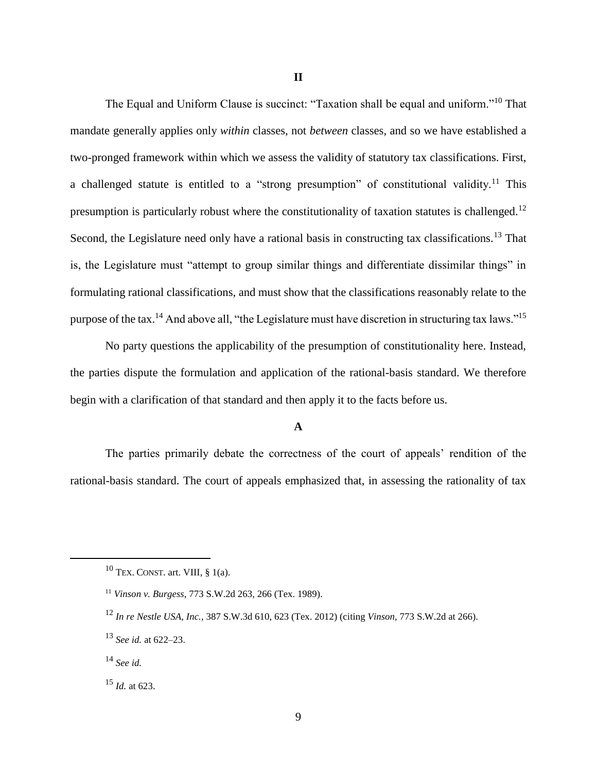The Equal and Uniform Clause is succinct: "Taxation shall be equal and uniform."<sup>10</sup> That mandate generally applies only *within* classes, not *between* classes, and so we have established a two-pronged framework within which we assess the validity of statutory tax classifications. First, a challenged statute is entitled to a "strong presumption" of constitutional validity.<sup>11</sup> This presumption is particularly robust where the constitutionality of taxation statutes is challenged.<sup>12</sup> Second, the Legislature need only have a rational basis in constructing tax classifications.<sup>13</sup> That is, the Legislature must "attempt to group similar things and differentiate dissimilar things" in formulating rational classifications, and must show that the classifications reasonably relate to the purpose of the tax.<sup>14</sup> And above all, "the Legislature must have discretion in structuring tax laws."<sup>15</sup>

No party questions the applicability of the presumption of constitutionality here. Instead, the parties dispute the formulation and application of the rational-basis standard. We therefore begin with a clarification of that standard and then apply it to the facts before us.

# **A**

The parties primarily debate the correctness of the court of appeals' rendition of the rational-basis standard. The court of appeals emphasized that, in assessing the rationality of tax

 $10$  TEX. CONST. art. VIII, § 1(a).

<sup>11</sup> *Vinson v. Burgess*, 773 S.W.2d 263, 266 (Tex. 1989).

<sup>12</sup> *In re Nestle USA, Inc.*, 387 S.W.3d 610, 623 (Tex. 2012) (citing *Vinson*, 773 S.W.2d at 266).

<sup>13</sup> *See id.* at 622–23.

<sup>14</sup> *See id.*

<sup>15</sup> *Id.* at 623.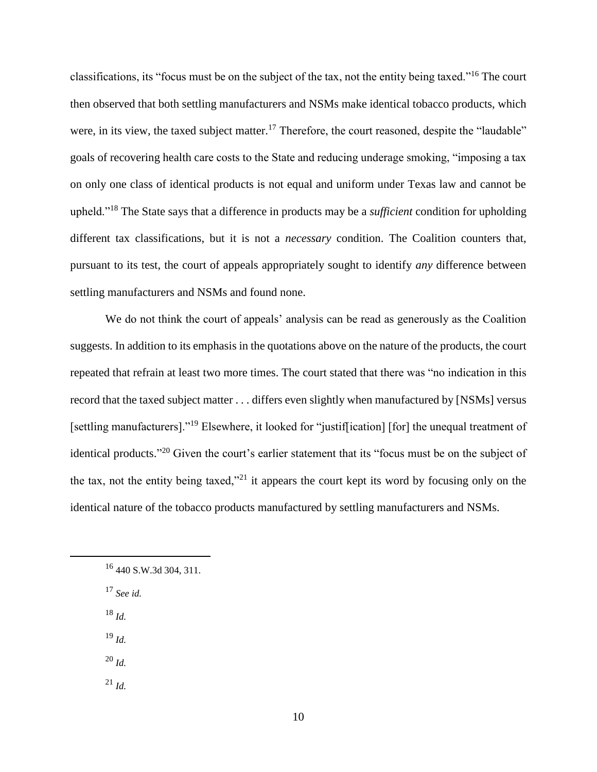classifications, its "focus must be on the subject of the tax, not the entity being taxed."<sup>16</sup> The court then observed that both settling manufacturers and NSMs make identical tobacco products, which were, in its view, the taxed subject matter.<sup>17</sup> Therefore, the court reasoned, despite the "laudable" goals of recovering health care costs to the State and reducing underage smoking, "imposing a tax on only one class of identical products is not equal and uniform under Texas law and cannot be upheld."<sup>18</sup> The State says that a difference in products may be a *sufficient* condition for upholding different tax classifications, but it is not a *necessary* condition. The Coalition counters that, pursuant to its test, the court of appeals appropriately sought to identify *any* difference between settling manufacturers and NSMs and found none.

We do not think the court of appeals' analysis can be read as generously as the Coalition suggests. In addition to its emphasis in the quotations above on the nature of the products, the court repeated that refrain at least two more times. The court stated that there was "no indication in this record that the taxed subject matter . . . differs even slightly when manufactured by [NSMs] versus [settling manufacturers]."<sup>19</sup> Elsewhere, it looked for "justif[ication] [for] the unequal treatment of identical products."<sup>20</sup> Given the court's earlier statement that its "focus must be on the subject of the tax, not the entity being taxed,"<sup>21</sup> it appears the court kept its word by focusing only on the identical nature of the tobacco products manufactured by settling manufacturers and NSMs.

<sup>17</sup> *See id.* 

<sup>18</sup> *Id.*

 $\overline{a}$ 

<sup>19</sup> *Id.*

<sup>20</sup> *Id.*

 $^{21}$  *Id.* 

 $16$  440 S.W.3d 304, 311.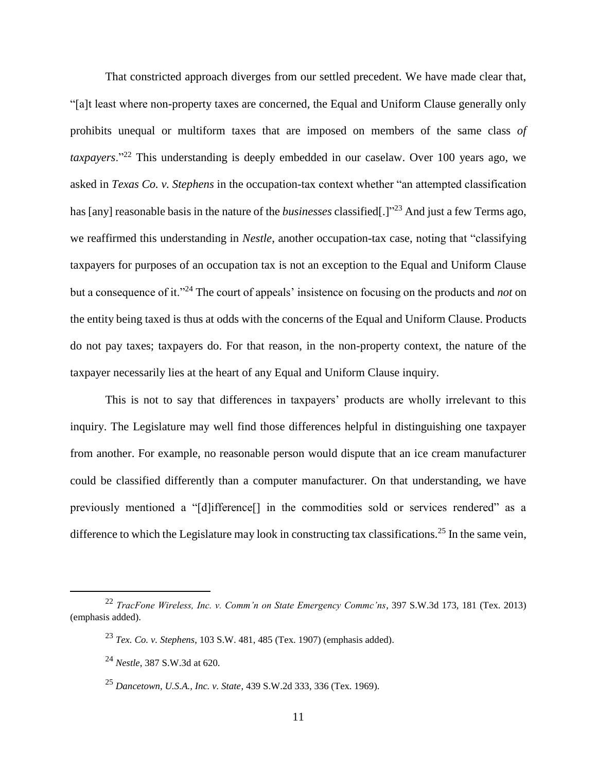That constricted approach diverges from our settled precedent. We have made clear that, "[a]t least where non-property taxes are concerned, the Equal and Uniform Clause generally only prohibits unequal or multiform taxes that are imposed on members of the same class *of taxpayers*."<sup>22</sup> This understanding is deeply embedded in our caselaw. Over 100 years ago, we asked in *Texas Co. v. Stephens* in the occupation-tax context whether "an attempted classification has [any] reasonable basis in the nature of the *businesses* classified[.]" <sup>23</sup> And just a few Terms ago, we reaffirmed this understanding in *Nestle*, another occupation-tax case, noting that "classifying taxpayers for purposes of an occupation tax is not an exception to the Equal and Uniform Clause but a consequence of it."<sup>24</sup> The court of appeals' insistence on focusing on the products and *not* on the entity being taxed is thus at odds with the concerns of the Equal and Uniform Clause. Products do not pay taxes; taxpayers do. For that reason, in the non-property context, the nature of the taxpayer necessarily lies at the heart of any Equal and Uniform Clause inquiry.

This is not to say that differences in taxpayers' products are wholly irrelevant to this inquiry. The Legislature may well find those differences helpful in distinguishing one taxpayer from another. For example, no reasonable person would dispute that an ice cream manufacturer could be classified differently than a computer manufacturer. On that understanding, we have previously mentioned a "[d]ifference[] in the commodities sold or services rendered" as a difference to which the Legislature may look in constructing tax classifications.<sup>25</sup> In the same vein,

<sup>22</sup> *TracFone Wireless, Inc. v. Comm'n on State Emergency Commc'ns*, 397 S.W.3d 173, 181 (Tex. 2013) (emphasis added).

<sup>23</sup> *Tex. Co. v. Stephens*, 103 S.W. 481, 485 (Tex. 1907) (emphasis added).

<sup>24</sup> *Nestle*, 387 S.W.3d at 620.

<sup>25</sup> *Dancetown, U.S.A., Inc. v. State*, 439 S.W.2d 333, 336 (Tex. 1969).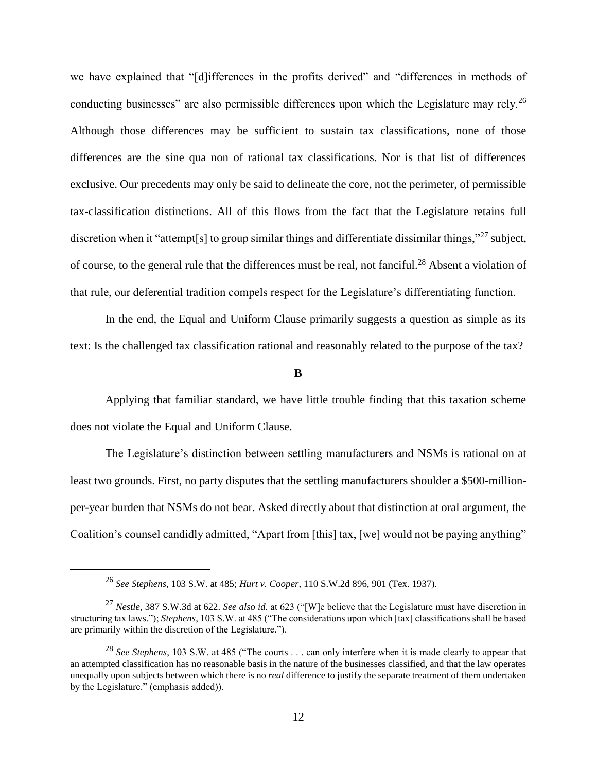we have explained that "[d]ifferences in the profits derived" and "differences in methods of conducting businesses" are also permissible differences upon which the Legislature may rely.<sup>26</sup> Although those differences may be sufficient to sustain tax classifications, none of those differences are the sine qua non of rational tax classifications. Nor is that list of differences exclusive. Our precedents may only be said to delineate the core, not the perimeter, of permissible tax-classification distinctions. All of this flows from the fact that the Legislature retains full discretion when it "attempt[s] to group similar things and differentiate dissimilar things,"<sup>27</sup> subject, of course, to the general rule that the differences must be real, not fanciful.<sup>28</sup> Absent a violation of that rule, our deferential tradition compels respect for the Legislature's differentiating function.

In the end, the Equal and Uniform Clause primarily suggests a question as simple as its text: Is the challenged tax classification rational and reasonably related to the purpose of the tax?

### **B**

Applying that familiar standard, we have little trouble finding that this taxation scheme does not violate the Equal and Uniform Clause.

The Legislature's distinction between settling manufacturers and NSMs is rational on at least two grounds. First, no party disputes that the settling manufacturers shoulder a \$500-millionper-year burden that NSMs do not bear. Asked directly about that distinction at oral argument, the Coalition's counsel candidly admitted, "Apart from [this] tax, [we] would not be paying anything"

<sup>26</sup> *See Stephens*, 103 S.W. at 485; *Hurt v. Cooper*, 110 S.W.2d 896, 901 (Tex. 1937).

<sup>27</sup> *Nestle*, 387 S.W.3d at 622. *See also id.* at 623 ("[W]e believe that the Legislature must have discretion in structuring tax laws."); *Stephens*, 103 S.W. at 485 ("The considerations upon which [tax] classifications shall be based are primarily within the discretion of the Legislature.").

<sup>&</sup>lt;sup>28</sup> *See Stephens*, 103 S.W. at 485 ("The courts . . . can only interfere when it is made clearly to appear that an attempted classification has no reasonable basis in the nature of the businesses classified, and that the law operates unequally upon subjects between which there is no *real* difference to justify the separate treatment of them undertaken by the Legislature." (emphasis added)).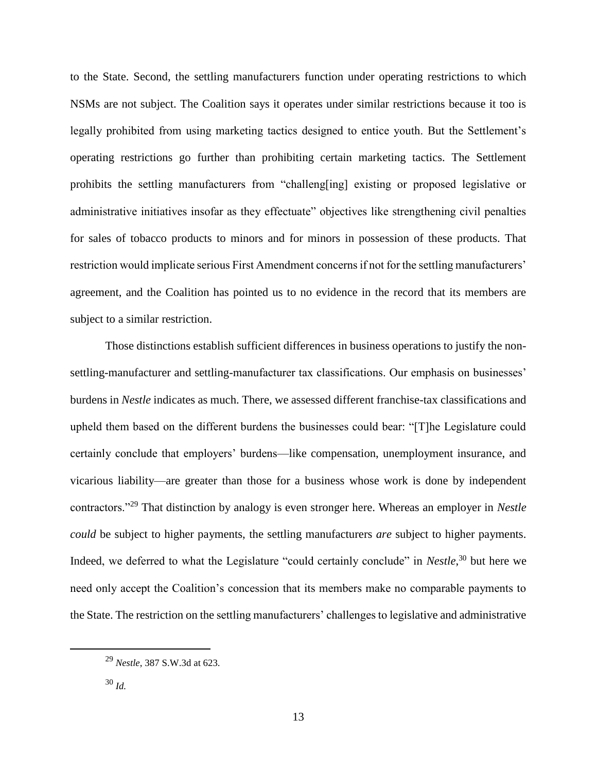to the State. Second, the settling manufacturers function under operating restrictions to which NSMs are not subject. The Coalition says it operates under similar restrictions because it too is legally prohibited from using marketing tactics designed to entice youth. But the Settlement's operating restrictions go further than prohibiting certain marketing tactics. The Settlement prohibits the settling manufacturers from "challeng[ing] existing or proposed legislative or administrative initiatives insofar as they effectuate" objectives like strengthening civil penalties for sales of tobacco products to minors and for minors in possession of these products. That restriction would implicate serious First Amendment concerns if not for the settling manufacturers' agreement, and the Coalition has pointed us to no evidence in the record that its members are subject to a similar restriction.

Those distinctions establish sufficient differences in business operations to justify the nonsettling-manufacturer and settling-manufacturer tax classifications. Our emphasis on businesses' burdens in *Nestle* indicates as much. There, we assessed different franchise-tax classifications and upheld them based on the different burdens the businesses could bear: "[T]he Legislature could certainly conclude that employers' burdens—like compensation, unemployment insurance, and vicarious liability—are greater than those for a business whose work is done by independent contractors."<sup>29</sup> That distinction by analogy is even stronger here. Whereas an employer in *Nestle could* be subject to higher payments, the settling manufacturers *are* subject to higher payments. Indeed, we deferred to what the Legislature "could certainly conclude" in *Nestle*, <sup>30</sup> but here we need only accept the Coalition's concession that its members make no comparable payments to the State. The restriction on the settling manufacturers' challenges to legislative and administrative

<sup>29</sup> *Nestle*, 387 S.W.3d at 623.

<sup>30</sup> *Id.*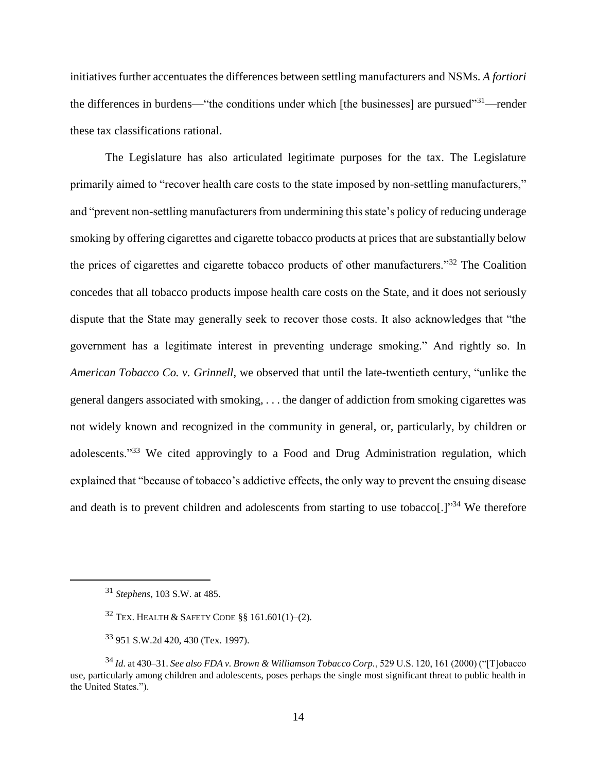initiatives further accentuates the differences between settling manufacturers and NSMs. *A fortiori*  the differences in burdens—"the conditions under which [the businesses] are pursued"<sup>31</sup>—render these tax classifications rational.

The Legislature has also articulated legitimate purposes for the tax. The Legislature primarily aimed to "recover health care costs to the state imposed by non-settling manufacturers," and "prevent non-settling manufacturers from undermining this state's policy of reducing underage smoking by offering cigarettes and cigarette tobacco products at prices that are substantially below the prices of cigarettes and cigarette tobacco products of other manufacturers."<sup>32</sup> The Coalition concedes that all tobacco products impose health care costs on the State, and it does not seriously dispute that the State may generally seek to recover those costs. It also acknowledges that "the government has a legitimate interest in preventing underage smoking." And rightly so. In *American Tobacco Co. v. Grinnell*, we observed that until the late-twentieth century, "unlike the general dangers associated with smoking, . . . the danger of addiction from smoking cigarettes was not widely known and recognized in the community in general, or, particularly, by children or adolescents."<sup>33</sup> We cited approvingly to a Food and Drug Administration regulation, which explained that "because of tobacco's addictive effects, the only way to prevent the ensuing disease and death is to prevent children and adolescents from starting to use tobacco[.]<sup>34</sup> We therefore

<sup>31</sup> *Stephens*, 103 S.W. at 485.

 $32$  Tex. Health & Safety Code §§ 161.601(1)–(2).

<sup>33</sup> 951 S.W.2d 420, 430 (Tex. 1997).

<sup>34</sup> *Id.* at 430–31. *See also FDA v. Brown & Williamson Tobacco Corp.*, 529 U.S. 120, 161 (2000) ("[T]obacco use, particularly among children and adolescents, poses perhaps the single most significant threat to public health in the United States.").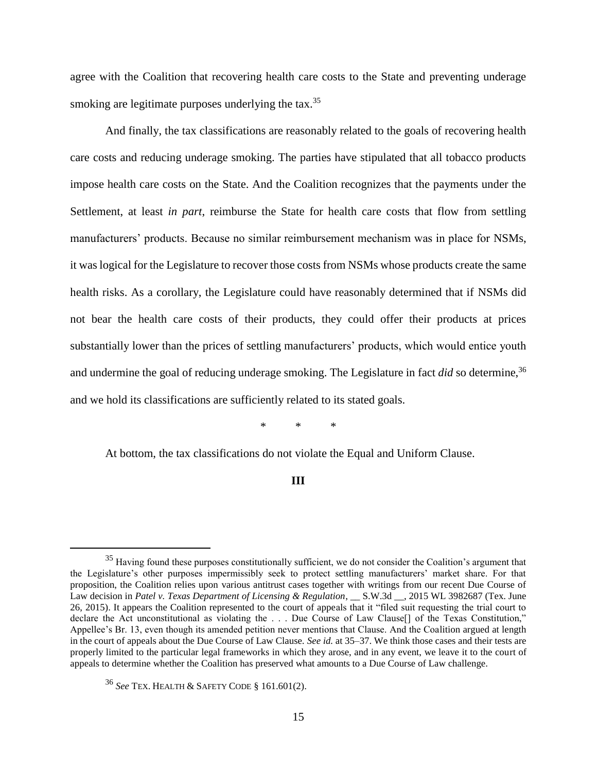agree with the Coalition that recovering health care costs to the State and preventing underage smoking are legitimate purposes underlying the tax.<sup>35</sup>

And finally, the tax classifications are reasonably related to the goals of recovering health care costs and reducing underage smoking. The parties have stipulated that all tobacco products impose health care costs on the State. And the Coalition recognizes that the payments under the Settlement, at least *in part*, reimburse the State for health care costs that flow from settling manufacturers' products. Because no similar reimbursement mechanism was in place for NSMs, it was logical for the Legislature to recover those costs from NSMs whose products create the same health risks. As a corollary, the Legislature could have reasonably determined that if NSMs did not bear the health care costs of their products, they could offer their products at prices substantially lower than the prices of settling manufacturers' products, which would entice youth and undermine the goal of reducing underage smoking. The Legislature in fact *did* so determine.<sup>36</sup> and we hold its classifications are sufficiently related to its stated goals.

\* \* \*

At bottom, the tax classifications do not violate the Equal and Uniform Clause.

#### **III**

<sup>&</sup>lt;sup>35</sup> Having found these purposes constitutionally sufficient, we do not consider the Coalition's argument that the Legislature's other purposes impermissibly seek to protect settling manufacturers' market share. For that proposition, the Coalition relies upon various antitrust cases together with writings from our recent Due Course of Law decision in *Patel v. Texas Department of Licensing & Regulation*, \_\_ S.W.3d \_\_, 2015 WL 3982687 (Tex. June 26, 2015). It appears the Coalition represented to the court of appeals that it "filed suit requesting the trial court to declare the Act unconstitutional as violating the ... Due Course of Law Clause<sup>[]</sup> of the Texas Constitution," Appellee's Br. 13, even though its amended petition never mentions that Clause. And the Coalition argued at length in the court of appeals about the Due Course of Law Clause. *See id.* at 35–37. We think those cases and their tests are properly limited to the particular legal frameworks in which they arose, and in any event, we leave it to the court of appeals to determine whether the Coalition has preserved what amounts to a Due Course of Law challenge.

<sup>36</sup> *See* TEX. HEALTH & SAFETY CODE § 161.601(2).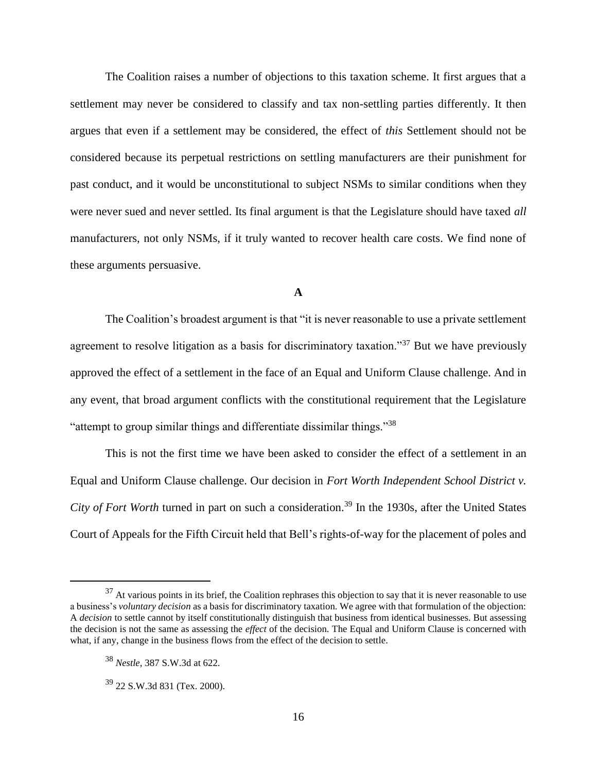The Coalition raises a number of objections to this taxation scheme. It first argues that a settlement may never be considered to classify and tax non-settling parties differently. It then argues that even if a settlement may be considered, the effect of *this* Settlement should not be considered because its perpetual restrictions on settling manufacturers are their punishment for past conduct, and it would be unconstitutional to subject NSMs to similar conditions when they were never sued and never settled. Its final argument is that the Legislature should have taxed *all*  manufacturers, not only NSMs, if it truly wanted to recover health care costs. We find none of these arguments persuasive.

# **A**

The Coalition's broadest argument is that "it is never reasonable to use a private settlement agreement to resolve litigation as a basis for discriminatory taxation."<sup>37</sup> But we have previously approved the effect of a settlement in the face of an Equal and Uniform Clause challenge. And in any event, that broad argument conflicts with the constitutional requirement that the Legislature "attempt to group similar things and differentiate dissimilar things."<sup>38</sup>

This is not the first time we have been asked to consider the effect of a settlement in an Equal and Uniform Clause challenge. Our decision in *Fort Worth Independent School District v. City of Fort Worth* turned in part on such a consideration.<sup>39</sup> In the 1930s, after the United States Court of Appeals for the Fifth Circuit held that Bell's rights-of-way for the placement of poles and

 $37$  At various points in its brief, the Coalition rephrases this objection to say that it is never reasonable to use a business's *voluntary decision* as a basis for discriminatory taxation. We agree with that formulation of the objection: A *decision* to settle cannot by itself constitutionally distinguish that business from identical businesses. But assessing the decision is not the same as assessing the *effect* of the decision. The Equal and Uniform Clause is concerned with what, if any, change in the business flows from the effect of the decision to settle.

<sup>38</sup> *Nestle*, 387 S.W.3d at 622.

<sup>39</sup> 22 S.W.3d 831 (Tex. 2000).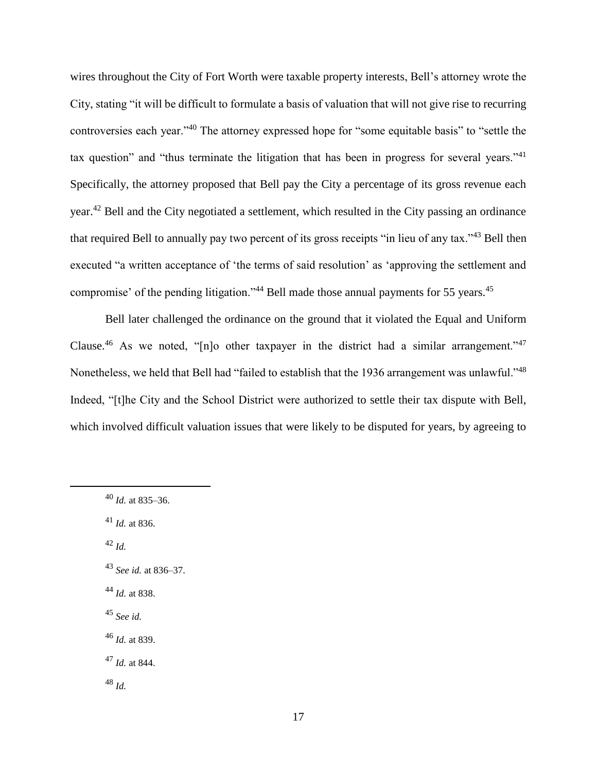wires throughout the City of Fort Worth were taxable property interests, Bell's attorney wrote the City, stating "it will be difficult to formulate a basis of valuation that will not give rise to recurring controversies each year."<sup>40</sup> The attorney expressed hope for "some equitable basis" to "settle the tax question" and "thus terminate the litigation that has been in progress for several years."<sup>41</sup> Specifically, the attorney proposed that Bell pay the City a percentage of its gross revenue each year.<sup>42</sup> Bell and the City negotiated a settlement, which resulted in the City passing an ordinance that required Bell to annually pay two percent of its gross receipts "in lieu of any tax."<sup>43</sup> Bell then executed "a written acceptance of 'the terms of said resolution' as 'approving the settlement and compromise' of the pending litigation."<sup>44</sup> Bell made those annual payments for 55 years.<sup>45</sup>

Bell later challenged the ordinance on the ground that it violated the Equal and Uniform Clause.<sup>46</sup> As we noted, "[n]o other taxpayer in the district had a similar arrangement."<sup>47</sup> Nonetheless, we held that Bell had "failed to establish that the 1936 arrangement was unlawful."<sup>48</sup> Indeed, "[t]he City and the School District were authorized to settle their tax dispute with Bell, which involved difficult valuation issues that were likely to be disputed for years, by agreeing to

<sup>41</sup> *Id.* at 836.

<sup>42</sup> *Id.*

 $\overline{a}$ 

<sup>43</sup> *See id.* at 836–37.

<sup>44</sup> *Id.* at 838.

<sup>45</sup> *See id.*

<sup>46</sup> *Id.* at 839.

<sup>47</sup> *Id.* at 844.

<sup>48</sup> *Id.*

<sup>40</sup> *Id.* at 835–36.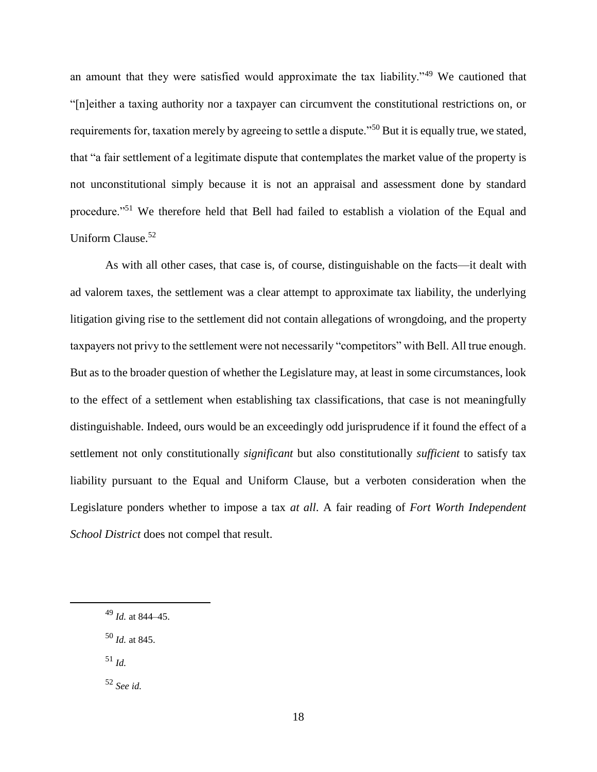an amount that they were satisfied would approximate the tax liability."<sup>49</sup> We cautioned that "[n]either a taxing authority nor a taxpayer can circumvent the constitutional restrictions on, or requirements for, taxation merely by agreeing to settle a dispute."<sup>50</sup> But it is equally true, we stated, that "a fair settlement of a legitimate dispute that contemplates the market value of the property is not unconstitutional simply because it is not an appraisal and assessment done by standard procedure."<sup>51</sup> We therefore held that Bell had failed to establish a violation of the Equal and Uniform Clause.<sup>52</sup>

As with all other cases, that case is, of course, distinguishable on the facts—it dealt with ad valorem taxes, the settlement was a clear attempt to approximate tax liability, the underlying litigation giving rise to the settlement did not contain allegations of wrongdoing, and the property taxpayers not privy to the settlement were not necessarily "competitors" with Bell. All true enough. But as to the broader question of whether the Legislature may, at least in some circumstances, look to the effect of a settlement when establishing tax classifications, that case is not meaningfully distinguishable. Indeed, ours would be an exceedingly odd jurisprudence if it found the effect of a settlement not only constitutionally *significant* but also constitutionally *sufficient* to satisfy tax liability pursuant to the Equal and Uniform Clause, but a verboten consideration when the Legislature ponders whether to impose a tax *at all*. A fair reading of *Fort Worth Independent School District* does not compel that result.

<sup>50</sup> *Id.* at 845.

<sup>51</sup> *Id.*

 $\overline{a}$ 

<sup>52</sup> *See id.*

<sup>49</sup> *Id.* at 844–45.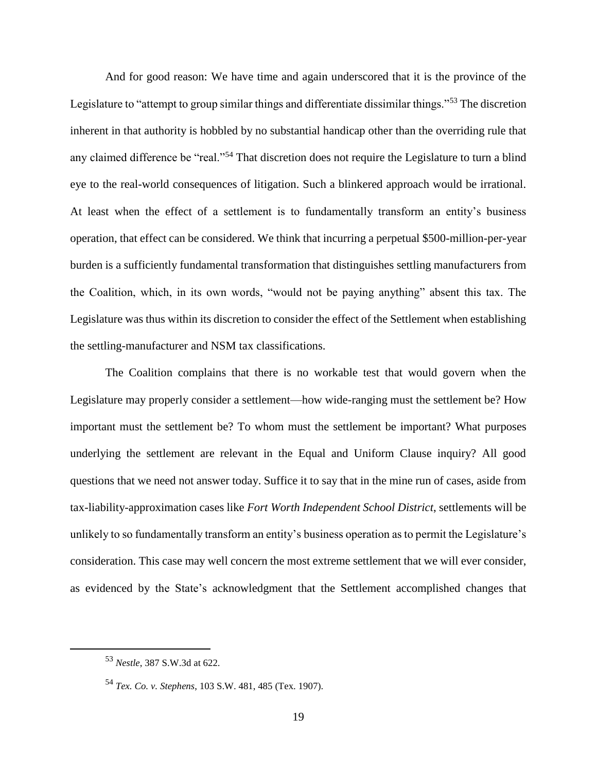And for good reason: We have time and again underscored that it is the province of the Legislature to "attempt to group similar things and differentiate dissimilar things."<sup>53</sup> The discretion inherent in that authority is hobbled by no substantial handicap other than the overriding rule that any claimed difference be "real."<sup>54</sup> That discretion does not require the Legislature to turn a blind eye to the real-world consequences of litigation. Such a blinkered approach would be irrational. At least when the effect of a settlement is to fundamentally transform an entity's business operation, that effect can be considered. We think that incurring a perpetual \$500-million-per-year burden is a sufficiently fundamental transformation that distinguishes settling manufacturers from the Coalition, which, in its own words, "would not be paying anything" absent this tax. The Legislature was thus within its discretion to consider the effect of the Settlement when establishing the settling-manufacturer and NSM tax classifications.

The Coalition complains that there is no workable test that would govern when the Legislature may properly consider a settlement—how wide-ranging must the settlement be? How important must the settlement be? To whom must the settlement be important? What purposes underlying the settlement are relevant in the Equal and Uniform Clause inquiry? All good questions that we need not answer today. Suffice it to say that in the mine run of cases, aside from tax-liability-approximation cases like *Fort Worth Independent School District*, settlements will be unlikely to so fundamentally transform an entity's business operation as to permit the Legislature's consideration. This case may well concern the most extreme settlement that we will ever consider, as evidenced by the State's acknowledgment that the Settlement accomplished changes that

<sup>53</sup> *Nestle*, 387 S.W.3d at 622.

<sup>54</sup> *Tex. Co. v. Stephens*, 103 S.W. 481, 485 (Tex. 1907).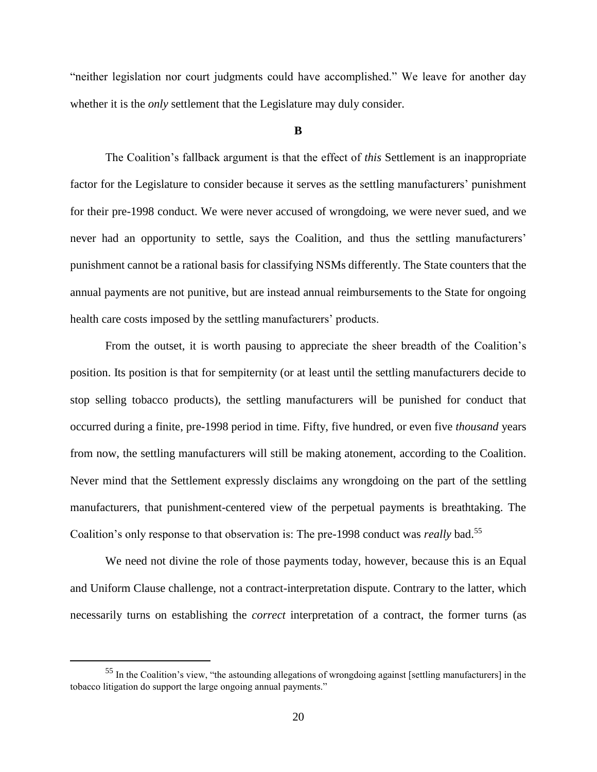"neither legislation nor court judgments could have accomplished." We leave for another day whether it is the *only* settlement that the Legislature may duly consider.

#### **B**

The Coalition's fallback argument is that the effect of *this* Settlement is an inappropriate factor for the Legislature to consider because it serves as the settling manufacturers' punishment for their pre-1998 conduct. We were never accused of wrongdoing, we were never sued, and we never had an opportunity to settle, says the Coalition, and thus the settling manufacturers' punishment cannot be a rational basis for classifying NSMs differently. The State counters that the annual payments are not punitive, but are instead annual reimbursements to the State for ongoing health care costs imposed by the settling manufacturers' products.

From the outset, it is worth pausing to appreciate the sheer breadth of the Coalition's position. Its position is that for sempiternity (or at least until the settling manufacturers decide to stop selling tobacco products), the settling manufacturers will be punished for conduct that occurred during a finite, pre-1998 period in time. Fifty, five hundred, or even five *thousand* years from now, the settling manufacturers will still be making atonement, according to the Coalition. Never mind that the Settlement expressly disclaims any wrongdoing on the part of the settling manufacturers, that punishment-centered view of the perpetual payments is breathtaking. The Coalition's only response to that observation is: The pre-1998 conduct was *really* bad.<sup>55</sup>

We need not divine the role of those payments today, however, because this is an Equal and Uniform Clause challenge, not a contract-interpretation dispute. Contrary to the latter, which necessarily turns on establishing the *correct* interpretation of a contract, the former turns (as

 $\ddot{\phantom{a}}$ 

<sup>55</sup> In the Coalition's view, "the astounding allegations of wrongdoing against [settling manufacturers] in the tobacco litigation do support the large ongoing annual payments."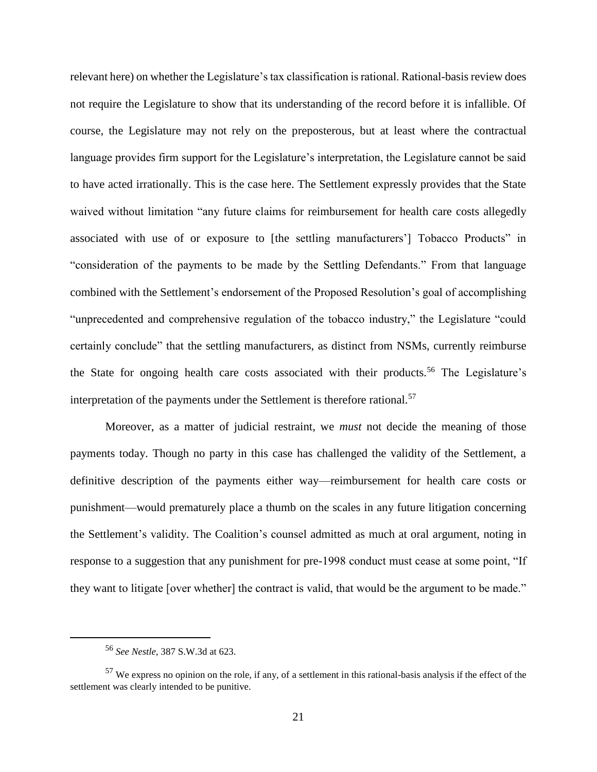relevant here) on whether the Legislature's tax classification is rational. Rational-basis review does not require the Legislature to show that its understanding of the record before it is infallible. Of course, the Legislature may not rely on the preposterous, but at least where the contractual language provides firm support for the Legislature's interpretation, the Legislature cannot be said to have acted irrationally. This is the case here. The Settlement expressly provides that the State waived without limitation "any future claims for reimbursement for health care costs allegedly associated with use of or exposure to [the settling manufacturers'] Tobacco Products" in "consideration of the payments to be made by the Settling Defendants." From that language combined with the Settlement's endorsement of the Proposed Resolution's goal of accomplishing "unprecedented and comprehensive regulation of the tobacco industry," the Legislature "could certainly conclude" that the settling manufacturers, as distinct from NSMs, currently reimburse the State for ongoing health care costs associated with their products.<sup>56</sup> The Legislature's interpretation of the payments under the Settlement is therefore rational.<sup>57</sup>

Moreover, as a matter of judicial restraint, we *must* not decide the meaning of those payments today. Though no party in this case has challenged the validity of the Settlement, a definitive description of the payments either way—reimbursement for health care costs or punishment—would prematurely place a thumb on the scales in any future litigation concerning the Settlement's validity. The Coalition's counsel admitted as much at oral argument, noting in response to a suggestion that any punishment for pre-1998 conduct must cease at some point, "If they want to litigate [over whether] the contract is valid, that would be the argument to be made."

<sup>56</sup> *See Nestle*, 387 S.W.3d at 623.

<sup>57</sup> We express no opinion on the role, if any, of a settlement in this rational-basis analysis if the effect of the settlement was clearly intended to be punitive.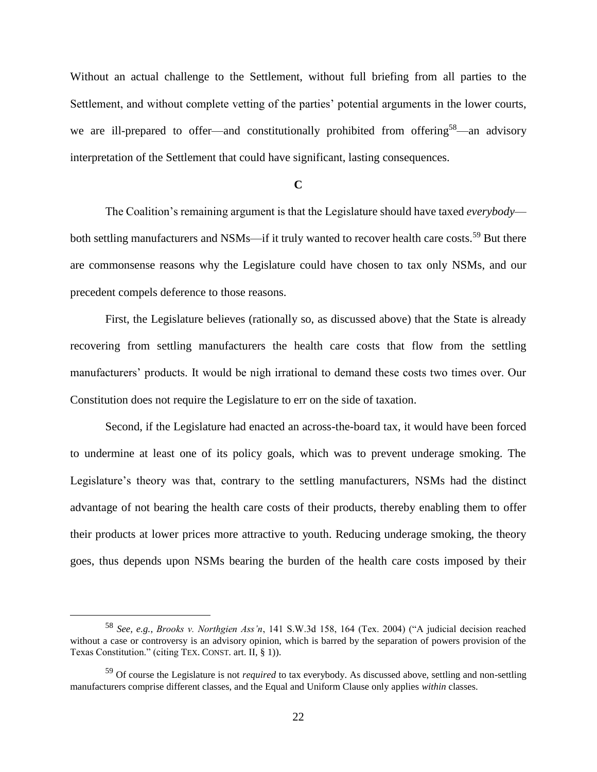Without an actual challenge to the Settlement, without full briefing from all parties to the Settlement, and without complete vetting of the parties' potential arguments in the lower courts, we are ill-prepared to offer—and constitutionally prohibited from offering<sup>58</sup>—an advisory interpretation of the Settlement that could have significant, lasting consequences.

**C**

The Coalition's remaining argument is that the Legislature should have taxed *everybody* both settling manufacturers and NSMs—if it truly wanted to recover health care costs.<sup>59</sup> But there are commonsense reasons why the Legislature could have chosen to tax only NSMs, and our precedent compels deference to those reasons.

First, the Legislature believes (rationally so, as discussed above) that the State is already recovering from settling manufacturers the health care costs that flow from the settling manufacturers' products. It would be nigh irrational to demand these costs two times over. Our Constitution does not require the Legislature to err on the side of taxation.

Second, if the Legislature had enacted an across-the-board tax, it would have been forced to undermine at least one of its policy goals, which was to prevent underage smoking. The Legislature's theory was that, contrary to the settling manufacturers, NSMs had the distinct advantage of not bearing the health care costs of their products, thereby enabling them to offer their products at lower prices more attractive to youth. Reducing underage smoking, the theory goes, thus depends upon NSMs bearing the burden of the health care costs imposed by their

<sup>58</sup> *See, e.g.*, *Brooks v. Northgien Ass'n*, 141 S.W.3d 158, 164 (Tex. 2004) ("A judicial decision reached without a case or controversy is an advisory opinion, which is barred by the separation of powers provision of the Texas Constitution." (citing TEX. CONST. art. II, § 1)).

<sup>59</sup> Of course the Legislature is not *required* to tax everybody. As discussed above, settling and non-settling manufacturers comprise different classes, and the Equal and Uniform Clause only applies *within* classes.